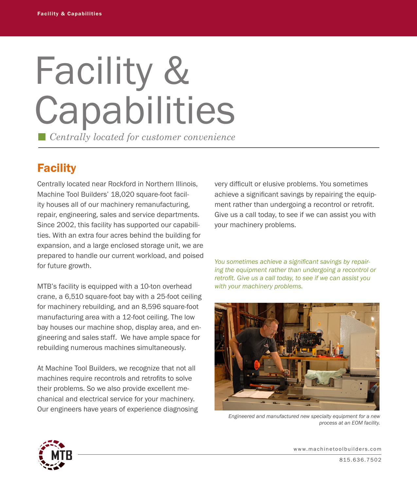# Facility & **Capabilities** *Centrally located for customer convenience*

**Facility** 

Centrally located near Rockford in Northern Illinois, Machine Tool Builders' 18,020 square-foot facility houses all of our machinery remanufacturing, repair, engineering, sales and service departments. Since 2002, this facility has supported our capabilities. With an extra four acres behind the building for expansion, and a large enclosed storage unit, we are prepared to handle our current workload, and poised for future growth.

MTB's facility is equipped with a 10-ton overhead crane, a 6,510 square-foot bay with a 25-foot ceiling for machinery rebuilding, and an 8,596 square-foot manufacturing area with a 12-foot ceiling. The low bay houses our machine shop, display area, and engineering and sales staff. We have ample space for rebuilding numerous machines simultaneously.

At Machine Tool Builders, we recognize that not all machines require recontrols and retrofits to solve their problems. So we also provide excellent mechanical and electrical service for your machinery. Our engineers have years of experience diagnosing very difficult or elusive problems. You sometimes achieve a significant savings by repairing the equipment rather than undergoing a recontrol or retrofit. Give us a call today, to see if we can assist you with your machinery problems.

*You sometimes achieve a significant savings by repairing the equipment rather than undergoing a recontrol or retrofit. Give us a call today, to see if we can assist you with your machinery problems.*



*Engineered and manufactured new specialty equipment for a new process at an EOM facility.*



www.machinetoolbuilders.com